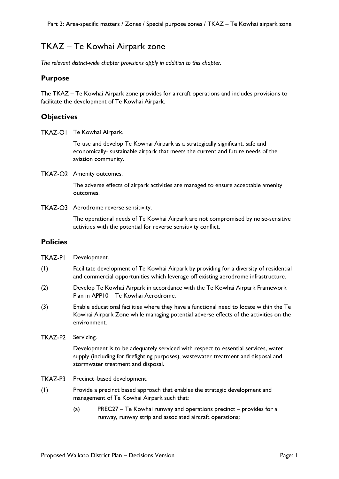# TKAZ – Te Kowhai Airpark zone

*The relevant district-wide chapter provisions apply in addition to this chapter.*

## **Purpose**

The TKAZ – Te Kowhai Airpark zone provides for aircraft operations and includes provisions to facilitate the development of Te Kowhai Airpark.

# **Objectives**

TKAZ-OI Te Kowhai Airpark.

To use and develop Te Kowhai Airpark as a strategically significant, safe and economically- sustainable airpark that meets the current and future needs of the aviation community.

TKAZ-O2 Amenity outcomes.

The adverse effects of airpark activities are managed to ensure acceptable amenity outcomes.

TKAZ-O3 Aerodrome reverse sensitivity.

The operational needs of Te Kowhai Airpark are not compromised by noise-sensitive activities with the potential for reverse sensitivity conflict.

# **Policies**

- (1) Facilitate development of Te Kowhai Airpark by providing for a diversity of residential and commercial opportunities which leverage off existing aerodrome infrastructure.
- (2) Develop Te Kowhai Airpark in accordance with the Te Kowhai Airpark Framework Plan in APP10 – Te Kowhai Aerodrome.
- (3) Enable educational facilities where they have a functional need to locate within the Te Kowhai Airpark Zone while managing potential adverse effects of the activities on the environment.
- TKAZ-P2 Servicing.

Development is to be adequately serviced with respect to essential services, water supply (including for firefighting purposes), wastewater treatment and disposal and stormwater treatment and disposal.

- TKAZ-P3 Precinct–based development.
- (1) Provide a precinct based approach that enables the strategic development and management of Te Kowhai Airpark such that:
	- (a) PREC27 Te Kowhai runway and operations precinct provides for a runway, runway strip and associated aircraft operations;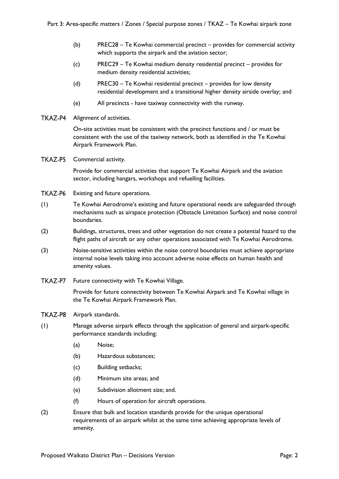- (b) PREC28 Te Kowhai commercial precinct provides for commercial activity which supports the airpark and the aviation sector;
- (c) PREC29 Te Kowhai medium density residential precinct provides for medium density residential activities;
- (d) PREC30 Te Kowhai residential precinct provides for low density residential development and a transitional higher density airside overlay; and
- (e) All precincts have taxiway connectivity with the runway.
- TKAZ-P4 Alignment of activities.

On-site activities must be consistent with the precinct functions and / or must be consistent with the use of the taxiway network, both as identified in the Te Kowhai Airpark Framework Plan.

TKAZ-P5 Commercial activity.

Provide for commercial activities that support Te Kowhai Airpark and the aviation sector, including hangars, workshops and refuelling facilities.

- TKAZ-P6 Existing and future operations.
- (1) Te Kowhai Aerodrome's existing and future operational needs are safeguarded through mechanisms such as airspace protection (Obstacle Limitation Surface) and noise control boundaries.
- (2) Buildings, structures, trees and other vegetation do not create a potential hazard to the flight paths of aircraft or any other operations associated with Te Kowhai Aerodrome.
- (3) Noise-sensitive activities within the noise control boundaries must achieve appropriate internal noise levels taking into account adverse noise effects on human health and amenity values.
- TKAZ-P7 Future connectivity with Te Kowhai Village.

Provide for future connectivity between Te Kowhai Airpark and Te Kowhai village in the Te Kowhai Airpark Framework Plan.

- TKAZ-P8 Airpark standards.
- (1) Manage adverse airpark effects through the application of general and airpark-specific performance standards including:
	- (a) Noise;
	- (b) Hazardous substances;
	- (c) Building setbacks;
	- (d) Minimum site areas; and
	- (e) Subdivision allotment size; and.
	- (f) Hours of operation for aircraft operations.
- (2) Ensure that bulk and location standards provide for the unique operational requirements of an airpark whilst at the same time achieving appropriate levels of amenity.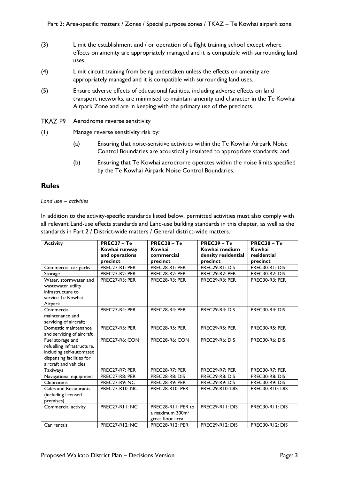- (3) Limit the establishment and / or operation of a flight training school except where effects on amenity are appropriately managed and it is compatible with surrounding land uses.
- (4) Limit circuit training from being undertaken unless the effects on amenity are appropriately managed and it is compatible with surrounding land uses.
- (5) Ensure adverse effects of educational facilities, including adverse effects on land transport networks, are minimised to maintain amenity and character in the Te Kowhai Airpark Zone and are in keeping with the primary use of the precincts.
- TKAZ-P9 Aerodrome reverse sensitivity
- (1) Manage reverse sensitivity risk by:
	- (a) Ensuring that noise-sensitive activities within the Te Kowhai Airpark Noise Control Boundaries are acoustically insulated to appropriate standards; and
	- (b) Ensuring that Te Kowhai aerodrome operates within the noise limits specified by the Te Kowhai Airpark Noise Control Boundaries.

# **Rules**

#### *Land use – activities*

In addition to the activity-specific standards listed below, permitted activities must also comply with all relevant Land-use effects standards and Land-use building standards in this chapter, as well as the standards in Part 2 / District-wide matters / General district-wide matters.

| <b>Activity</b>            | $PREC27 - Te$         | $PREC28 - Te$               | $PREC29 - Te$          | $PREC30 - Te$          |
|----------------------------|-----------------------|-----------------------------|------------------------|------------------------|
|                            | Kowhai runway         | Kowhai                      | Kowhai medium          | Kowhai                 |
|                            | and operations        | commercial                  | density residential    | residential            |
|                            | precinct              | precinct                    | precinct               | precinct               |
| Commercial car parks       | PREC27-RI: PER        | PREC28-RI: PER              | PREC29-RI: DIS         | PREC30-R1: DIS         |
| Storage                    | PREC27-R2: PER        | PREC28-R2: PER              | PREC29-R2: PER         | <b>PREC30-R2: DIS</b>  |
| Water, stormwater and      | PREC27-R3: PER        | PREC28-R3: PER              | <b>PREC29-R3: PER</b>  | PREC30-R3: PER         |
| wastewater utility         |                       |                             |                        |                        |
| infrastructure to          |                       |                             |                        |                        |
| service Te Kowhai          |                       |                             |                        |                        |
| Airpark                    |                       |                             |                        |                        |
| Commercial                 | PREC27-R4: PER        | PREC28-R4: PER              | PREC29-R4: DIS         | PREC30-R4: DIS         |
| maintenance and            |                       |                             |                        |                        |
| servicing of aircraft;     |                       |                             |                        |                        |
| Domestic maintenance       | PREC27-R5: PER        | PREC28-R5: PER              | <b>PREC29-R5: PER</b>  | <b>PREC30-R5: PER</b>  |
| and servicing of aircraft  |                       |                             |                        |                        |
| Fuel storage and           | PREC27-R6: CON        | PREC28-R6: CON              | PREC29-R6: DIS         | PREC30-R6: DIS         |
| refuelling infrastructure, |                       |                             |                        |                        |
| including self-automated   |                       |                             |                        |                        |
| dispensing facilities for  |                       |                             |                        |                        |
| aircraft and vehicles      |                       |                             |                        |                        |
| <b>Taxiways</b>            | PREC27-R7: PER        | PREC28-R7: PER              | PREC29-R7: PER         | PREC30-R7: PER         |
| Navigational equipment     | PREC27-R8: PER        | PREC28-R8: DIS              | PREC29-R8: DIS         | PREC30-R8: DIS         |
| Clubrooms                  | <b>PREC27-R9: NC</b>  | PREC28-R9: PER              | PREC29-R9: DIS         | PREC30-R9: DIS         |
| Cafes and Restaurants      | <b>PREC27-R10: NC</b> | PREC28-R10: PER             | <b>PREC29-R10: DIS</b> | <b>PREC30-R10: DIS</b> |
| (including licensed        |                       |                             |                        |                        |
| premises)                  |                       |                             |                        |                        |
| Commercial activity        | PREC27-RII: NC        | PREC28-RII: PER to          | PREC29-RII: DIS        | PREC30-RII: DIS        |
|                            |                       | a maximum 300m <sup>2</sup> |                        |                        |
|                            |                       | gross floor area            |                        |                        |
| Car rentals                | <b>PREC27-R12: NC</b> | PREC28-R12: PER             | PREC29-R12: DIS        | <b>PREC30-R12: DIS</b> |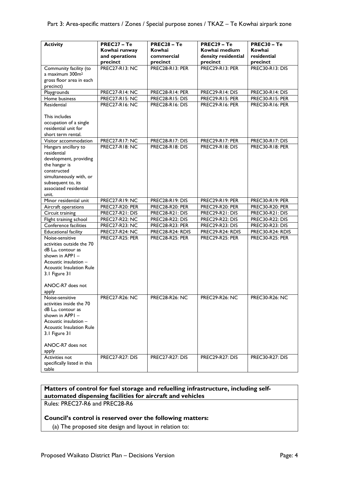| <b>Activity</b>                       | PREC27 - Te            | $PREC28 - Te$          | $PREC29 - Te$          | $PREC30 - Te$          |
|---------------------------------------|------------------------|------------------------|------------------------|------------------------|
|                                       | Kowhai runway          | Kowhai                 | Kowhai medium          | Kowhai                 |
|                                       | and operations         | commercial             | density residential    | residential            |
|                                       | precinct               | precinct               | precinct               | precinct               |
| Community facility (to                | <b>PREC27-R13: NC</b>  | PREC28-R13: PER        | <b>PREC29-R13: PER</b> | <b>PREC30-R13: DIS</b> |
| a maximum 300m <sup>2</sup>           |                        |                        |                        |                        |
| gross floor area in each<br>precinct) |                        |                        |                        |                        |
| Playgrounds                           | PREC27-R14: NC         | PREC28-R14: PER        | PREC29-R14: DIS        | PREC30-R14: DIS        |
| Home business                         | <b>PREC27-R15: NC</b>  | PREC28-R15: DIS        | PREC29-R15: PER        | <b>PREC30-R15: PER</b> |
| Residential                           | <b>PREC27-R16: NC</b>  | PREC28-R16: DIS        | <b>PREC29-R16: PER</b> | <b>PREC30-R16: PER</b> |
|                                       |                        |                        |                        |                        |
| This includes                         |                        |                        |                        |                        |
| occupation of a single                |                        |                        |                        |                        |
| residential unit for                  |                        |                        |                        |                        |
| short term rental.                    |                        |                        |                        |                        |
| Visitor accommodation                 | <b>PREC27-R17: NC</b>  | PREC28-R17: DIS        | PREC29-R17: PER        | PREC30-R17: DIS        |
| Hangars ancillary to                  | <b>PREC27-R18: NC</b>  | PREC28-R18: DIS        | <b>PREC29-R18: DIS</b> | <b>PREC30-R18: PER</b> |
| residential                           |                        |                        |                        |                        |
| development, providing                |                        |                        |                        |                        |
| the hangar is                         |                        |                        |                        |                        |
| constructed                           |                        |                        |                        |                        |
| simultaneously with, or               |                        |                        |                        |                        |
| subsequent to, its                    |                        |                        |                        |                        |
| associated residential                |                        |                        |                        |                        |
| unit.                                 |                        |                        |                        |                        |
| Minor residential unit                | <b>PREC27-R19: NC</b>  | PREC28-R19: DIS        | <b>PREC29-R19: PER</b> | <b>PREC30-R19: PER</b> |
| Aircraft operations                   | <b>PREC27-R20: PER</b> | <b>PREC28-R20: PER</b> | <b>PREC29-R20: PER</b> | <b>PREC30-R20: PER</b> |
| Circuit training                      | PREC27-R21: DIS        | PREC28-R21: DIS        | PREC29-R21: DIS        | PREC30-R21: DIS        |
| Flight training school                | <b>PREC27-R22: NC</b>  | <b>PREC28-R22: DIS</b> | <b>PREC29-R22: DIS</b> | <b>PREC30-R22: DIS</b> |
| Conference facilities                 | <b>PREC27-R23: NC</b>  | <b>PREC28-R23: PER</b> | <b>PREC29-R23: DIS</b> | <b>PREC30-R23: DIS</b> |
| <b>Educational facility</b>           | <b>PREC27-R24: NC</b>  | PREC28-R24: RDIS       | PREC29-R24: RDIS       | PREC30-R24: RDIS       |
| Noise-sensitive                       | PREC27-R25: PER        | <b>PREC28-R25: PER</b> | <b>PREC29-R25: PER</b> | <b>PREC30-R25: PER</b> |
| activities outside the 70             |                        |                        |                        |                        |
| $dB L_{dn}$ contour as                |                        |                        |                        |                        |
| shown in APPI -                       |                        |                        |                        |                        |
| Acoustic insulation –                 |                        |                        |                        |                        |
| <b>Acoustic Insulation Rule</b>       |                        |                        |                        |                        |
| 3.1 Figure 31                         |                        |                        |                        |                        |
| ANOC-R7 does not                      |                        |                        |                        |                        |
|                                       |                        |                        |                        |                        |
| apply<br>Noise-sensitive              | <b>PREC27-R26: NC</b>  | <b>PREC28-R26: NC</b>  | <b>PREC29-R26: NC</b>  | <b>PREC30-R26: NC</b>  |
| activities inside the 70              |                        |                        |                        |                        |
| dB Ldn contour as                     |                        |                        |                        |                        |
| shown in APPI -                       |                        |                        |                        |                        |
| Acoustic insulation -                 |                        |                        |                        |                        |
| <b>Acoustic Insulation Rule</b>       |                        |                        |                        |                        |
| 3.1 Figure 31                         |                        |                        |                        |                        |
|                                       |                        |                        |                        |                        |
| ANOC-R7 does not                      |                        |                        |                        |                        |
| apply                                 |                        |                        |                        |                        |
| Activities not                        | <b>PREC27-R27: DIS</b> | <b>PREC27-R27: DIS</b> | <b>PREC29-R27: DIS</b> | <b>PREC30-R27: DIS</b> |
| specifically listed in this           |                        |                        |                        |                        |
| table                                 |                        |                        |                        |                        |

# **Matters of control for fuel storage and refuelling infrastructure, including selfautomated dispensing facilities for aircraft and vehicles**

Rules: PREC27-R6 and PREC28-R6

### **Council's control is reserved over the following matters:**

(a) The proposed site design and layout in relation to: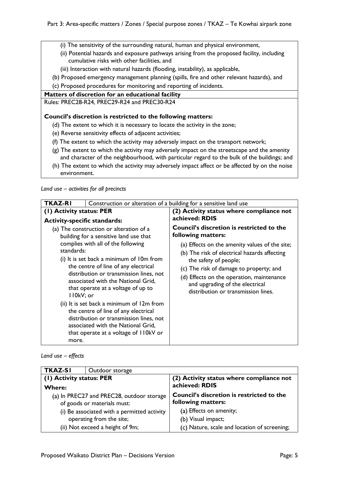- (i) The sensitivity of the surrounding natural, human and physical environment,
- (ii) Potential hazards and exposure pathways arising from the proposed facility, including cumulative risks with other facilities, and
- (iii) Interaction with natural hazards (flooding, instability), as applicable,
- (b) Proposed emergency management planning (spills, fire and other relevant hazards), and
- (c) Proposed procedures for monitoring and reporting of incidents.

### **Matters of discretion for an educational facility**

Rules: PREC28-R24, PREC29-R24 and PREC30-R24

### **Council's discretion is restricted to the following matters:**

- (d) The extent to which it is necessary to locate the activity in the zone;
- (e) Reverse sensitivity effects of adjacent activities;
- (f) The extent to which the activity may adversely impact on the transport network;
- (g) The extent to which the activity may adversely impact on the streetscape and the amenity and character of the neighbourhood, with particular regard to the bulk of the buildings; and
- (h) The extent to which the activity may adversely impact affect or be affected by on the noise environment.

*Land use – activities for all precincts*

| <b>TKAZ-RI</b><br>Construction or alteration of a building for a sensitive land use |                                                                                                                                                                                                                                                                                                                                                                                                                                                                                                                                                   |                                                                                                                                                                                                                                                                                                                                                                     |
|-------------------------------------------------------------------------------------|---------------------------------------------------------------------------------------------------------------------------------------------------------------------------------------------------------------------------------------------------------------------------------------------------------------------------------------------------------------------------------------------------------------------------------------------------------------------------------------------------------------------------------------------------|---------------------------------------------------------------------------------------------------------------------------------------------------------------------------------------------------------------------------------------------------------------------------------------------------------------------------------------------------------------------|
| (1) Activity status: PER<br><b>Activity-specific standards:</b>                     |                                                                                                                                                                                                                                                                                                                                                                                                                                                                                                                                                   | (2) Activity status where compliance not<br>achieved: RDIS                                                                                                                                                                                                                                                                                                          |
| standards:<br>II0kV; or<br>more.                                                    | (a) The construction or alteration of a<br>building for a sensitive land use that<br>complies with all of the following<br>(i) It is set back a minimum of 10m from<br>the centre of line of any electrical<br>distribution or transmission lines, not<br>associated with the National Grid,<br>that operate at a voltage of up to<br>(ii) It is set back a minimum of 12m from<br>the centre of line of any electrical<br>distribution or transmission lines, not<br>associated with the National Grid,<br>that operate at a voltage of 110kV or | <b>Council's discretion is restricted to the</b><br>following matters:<br>(a) Effects on the amenity values of the site;<br>(b) The risk of electrical hazards affecting<br>the safety of people;<br>(c) The risk of damage to property; and<br>(d) Effects on the operation, maintenance<br>and upgrading of the electrical<br>distribution or transmission lines. |

### *Land use – effects*

| <b>TKAZ-SI</b>                              | Outdoor storage |                                              |  |
|---------------------------------------------|-----------------|----------------------------------------------|--|
| (1) Activity status: PER                    |                 | (2) Activity status where compliance not     |  |
| <b>Where:</b>                               |                 | achieved: RDIS                               |  |
| (a) In PREC27 and PREC28, outdoor storage   |                 | Council's discretion is restricted to the    |  |
| of goods or materials must:                 |                 | following matters:                           |  |
| (i) Be associated with a permitted activity |                 | (a) Effects on amenity;                      |  |
| operating from the site;                    |                 | (b) Visual impact;                           |  |
| (ii) Not exceed a height of 9m;             |                 | (c) Nature, scale and location of screening; |  |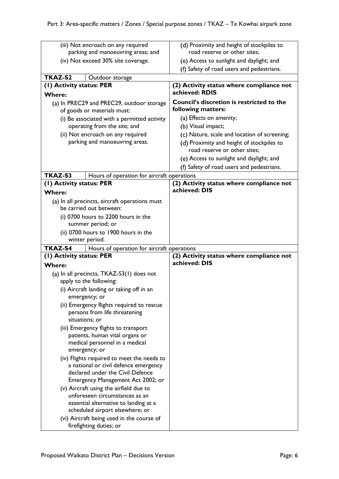| (iii) Not encroach on any required                                   | (d) Proximity and height of stockpiles to        |
|----------------------------------------------------------------------|--------------------------------------------------|
| parking and manoeuvring areas; and                                   | road reserve or other sites;                     |
| (iv) Not exceed 30% site coverage.                                   | (e) Access to sunlight and daylight; and         |
|                                                                      | (f) Safety of road users and pedestrians.        |
| TKAZ-S2<br>Outdoor storage                                           |                                                  |
| (1) Activity status: PER                                             | (2) Activity status where compliance not         |
| <b>Where:</b>                                                        | achieved: RDIS                                   |
| (a) In PREC29 and PREC29, outdoor storage                            | <b>Council's discretion is restricted to the</b> |
| of goods or materials must:                                          | following matters:                               |
| (i) Be associated with a permitted activity                          | (a) Effects on amenity;                          |
| operating from the site; and                                         | (b) Visual impact;                               |
| (ii) Not encroach on any required                                    | (c) Nature, scale and location of screening;     |
| parking and manoeuvring areas.                                       | (d) Proximity and height of stockpiles to        |
|                                                                      | road reserve or other sites;                     |
|                                                                      | (e) Access to sunlight and daylight; and         |
|                                                                      | (f) Safety of road users and pedestrians.        |
| TKAZ-S3<br>Hours of operation for aircraft operations                |                                                  |
| (1) Activity status: PER                                             | (2) Activity status where compliance not         |
| <b>Where:</b>                                                        | achieved: DIS                                    |
| (a) In all precincts, aircraft operations must                       |                                                  |
| be carried out between:                                              |                                                  |
| (i) 0700 hours to 2200 hours in the                                  |                                                  |
| summer period; or                                                    |                                                  |
| (ii) 0700 hours to 1900 hours in the                                 |                                                  |
| winter period.                                                       |                                                  |
| TKAZ-S4<br>Hours of operation for aircraft operations                |                                                  |
| (I) Activity status: PER                                             | (2) Activity status where compliance not         |
| <b>Where:</b>                                                        | achieved: DIS                                    |
| (a) In all precincts, TKAZ-S3(1) does not                            |                                                  |
| apply to the following:                                              |                                                  |
| (i) Aircraft landing or taking off in an                             |                                                  |
| emergency; or                                                        |                                                  |
| (ii) Emergency flights required to rescue                            |                                                  |
| persons from life threatening                                        |                                                  |
| situations; or                                                       |                                                  |
| (iii) Emergency flights to transport                                 |                                                  |
| patients, human vital organs or<br>medical personnel in a medical    |                                                  |
| emergency; or                                                        |                                                  |
| (iv) Flights required to meet the needs to                           |                                                  |
| a national or civil defence emergency                                |                                                  |
| declared under the Civil Defence                                     |                                                  |
| Emergency Management Act 2002; or                                    |                                                  |
| (v) Aircraft using the airfield due to                               |                                                  |
| unforeseen circumstances as an                                       |                                                  |
| essential alternative to landing at a                                |                                                  |
| scheduled airport elsewhere; or                                      |                                                  |
| (vi) Aircraft being used in the course of<br>firefighting duties; or |                                                  |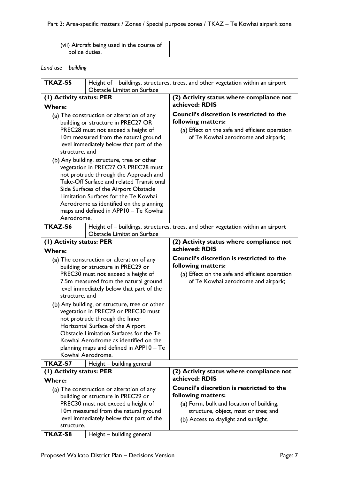| (vii) Aircraft being used in the course of |  |
|--------------------------------------------|--|
| police duties.                             |  |

# *Land use – building*

| <b>TKAZ-S5</b>                                         | Height of - buildings, structures, trees, and other vegetation within an airport     |                                                                                  |  |
|--------------------------------------------------------|--------------------------------------------------------------------------------------|----------------------------------------------------------------------------------|--|
| <b>Obstacle Limitation Surface</b>                     |                                                                                      |                                                                                  |  |
| (1) Activity status: PER                               |                                                                                      | (2) Activity status where compliance not                                         |  |
| <b>Where:</b>                                          |                                                                                      | achieved: RDIS                                                                   |  |
| (a) The construction or alteration of any              |                                                                                      | Council's discretion is restricted to the                                        |  |
|                                                        | building or structure in PREC27 OR                                                   | following matters:                                                               |  |
|                                                        | PREC28 must not exceed a height of                                                   | (a) Effect on the safe and efficient operation                                   |  |
|                                                        | 10m measured from the natural ground                                                 | of Te Kowhai aerodrome and airpark;                                              |  |
|                                                        | level immediately below that part of the                                             |                                                                                  |  |
| structure, and                                         |                                                                                      |                                                                                  |  |
|                                                        | (b) Any building, structure, tree or other                                           |                                                                                  |  |
|                                                        | vegetation in PREC27 OR PREC28 must<br>not protrude through the Approach and         |                                                                                  |  |
|                                                        | Take-Off Surface and related Transitional                                            |                                                                                  |  |
|                                                        | Side Surfaces of the Airport Obstacle                                                |                                                                                  |  |
|                                                        | Limitation Surfaces for the Te Kowhai                                                |                                                                                  |  |
|                                                        | Aerodrome as identified on the planning                                              |                                                                                  |  |
|                                                        | maps and defined in APP10 - Te Kowhai                                                |                                                                                  |  |
| Aerodrome.                                             |                                                                                      |                                                                                  |  |
| TKAZ-S6                                                |                                                                                      | Height of - buildings, structures, trees, and other vegetation within an airport |  |
|                                                        | <b>Obstacle Limitation Surface</b>                                                   |                                                                                  |  |
| (I) Activity status: PER                               |                                                                                      | (2) Activity status where compliance not                                         |  |
| <b>Where:</b>                                          |                                                                                      | achieved: RDIS                                                                   |  |
|                                                        | (a) The construction or alteration of any                                            | <b>Council's discretion is restricted to the</b>                                 |  |
|                                                        | building or structure in PREC29 or                                                   | following matters:                                                               |  |
|                                                        | PREC30 must not exceed a height of                                                   | (a) Effect on the safe and efficient operation                                   |  |
|                                                        | 7.5m measured from the natural ground                                                | of Te Kowhai aerodrome and airpark;                                              |  |
| structure, and                                         | level immediately below that part of the                                             |                                                                                  |  |
|                                                        |                                                                                      |                                                                                  |  |
|                                                        | (b) Any building, or structure, tree or other<br>vegetation in PREC29 or PREC30 must |                                                                                  |  |
|                                                        | not protrude through the Inner                                                       |                                                                                  |  |
|                                                        | Horizontal Surface of the Airport                                                    |                                                                                  |  |
|                                                        | Obstacle Limitation Surfaces for the Te                                              |                                                                                  |  |
|                                                        | Kowhai Aerodrome as identified on the                                                |                                                                                  |  |
|                                                        | planning maps and defined in APP10 - Te                                              |                                                                                  |  |
|                                                        | Kowhai Aerodrome.                                                                    |                                                                                  |  |
| TKAZ-S7                                                | Height - building general                                                            |                                                                                  |  |
| (I) Activity status: PER                               |                                                                                      | (2) Activity status where compliance not                                         |  |
| <b>Where:</b>                                          |                                                                                      | achieved: RDIS                                                                   |  |
| (a) The construction or alteration of any              |                                                                                      | <b>Council's discretion is restricted to the</b>                                 |  |
| building or structure in PREC29 or                     |                                                                                      | following matters:                                                               |  |
| PREC30 must not exceed a height of                     |                                                                                      | (a) Form, bulk and location of building,                                         |  |
| 10m measured from the natural ground                   |                                                                                      | structure, object, mast or tree; and                                             |  |
| level immediately below that part of the<br>structure. |                                                                                      | (b) Access to daylight and sunlight.                                             |  |
| TKAZ-S8                                                | Height - building general                                                            |                                                                                  |  |
|                                                        |                                                                                      |                                                                                  |  |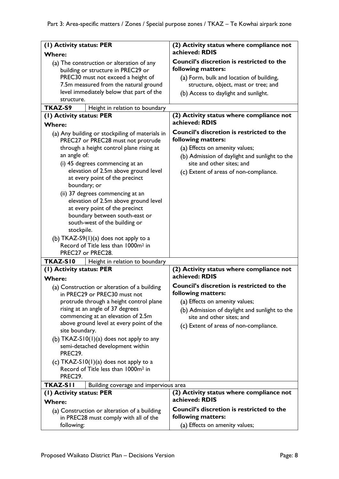| (I) Activity status: PER                                                              | (2) Activity status where compliance not                                   |
|---------------------------------------------------------------------------------------|----------------------------------------------------------------------------|
| <b>Where:</b>                                                                         | achieved: RDIS                                                             |
| (a) The construction or alteration of any<br>building or structure in PREC29 or       | <b>Council's discretion is restricted to the</b><br>following matters:     |
| PREC30 must not exceed a height of                                                    | (a) Form, bulk and location of building,                                   |
| 7.5m measured from the natural ground                                                 | structure, object, mast or tree; and                                       |
| level immediately below that part of the                                              | (b) Access to daylight and sunlight.                                       |
| structure.                                                                            |                                                                            |
| TKAZ-S9<br>Height in relation to boundary                                             |                                                                            |
| (1) Activity status: PER                                                              | (2) Activity status where compliance not<br>achieved: RDIS                 |
| <b>Where:</b>                                                                         | <b>Council's discretion is restricted to the</b>                           |
| (a) Any building or stockpiling of materials in                                       | following matters:                                                         |
| PREC27 or PREC28 must not protrude<br>through a height control plane rising at        | (a) Effects on amenity values;                                             |
| an angle of:                                                                          |                                                                            |
| (i) 45 degrees commencing at an                                                       | (b) Admission of daylight and sunlight to the<br>site and other sites; and |
| elevation of 2.5m above ground level                                                  | (c) Extent of areas of non-compliance.                                     |
| at every point of the precinct                                                        |                                                                            |
| boundary; or                                                                          |                                                                            |
| (ii) 37 degrees commencing at an                                                      |                                                                            |
| elevation of 2.5m above ground level                                                  |                                                                            |
| at every point of the precinct                                                        |                                                                            |
| boundary between south-east or                                                        |                                                                            |
| south-west of the building or                                                         |                                                                            |
| stockpile.                                                                            |                                                                            |
| (b) $TKAZ-S9(1)(a)$ does not apply to a                                               |                                                                            |
| Record of Title less than 1000m <sup>2</sup> in<br>PREC27 or PREC28.                  |                                                                            |
| <b>TKAZ-S10</b><br>Height in relation to boundary                                     |                                                                            |
| (1) Activity status: PER                                                              | (2) Activity status where compliance not                                   |
| <b>Where:</b>                                                                         | achieved: RDIS                                                             |
| (a) Construction or alteration of a building<br>in PREC29 or PREC30 must not          | Council's discretion is restricted to the<br>following matters:            |
| protrude through a height control plane                                               | (a) Effects on amenity values;                                             |
| rising at an angle of 37 degrees<br>commencing at an elevation of 2.5m                | (b) Admission of daylight and sunlight to the                              |
| above ground level at every point of the                                              | site and other sites; and                                                  |
| site boundary.                                                                        | (c) Extent of areas of non-compliance.                                     |
| (b) TKAZ-S10(1)(a) does not apply to any                                              |                                                                            |
| semi-detached development within<br>PREC29.                                           |                                                                            |
| (c) $TKAZ-S10(1)(a)$ does not apply to a                                              |                                                                            |
| Record of Title less than 1000m <sup>2</sup> in<br>PREC29.                            |                                                                            |
| <b>TKAZ-SII</b><br>Building coverage and impervious area                              |                                                                            |
| (1) Activity status: PER                                                              | (2) Activity status where compliance not                                   |
| <b>Where:</b>                                                                         | achieved: RDIS                                                             |
| (a) Construction or alteration of a building<br>in PREC28 must comply with all of the | Council's discretion is restricted to the<br>following matters:            |
| following:                                                                            | (a) Effects on amenity values;                                             |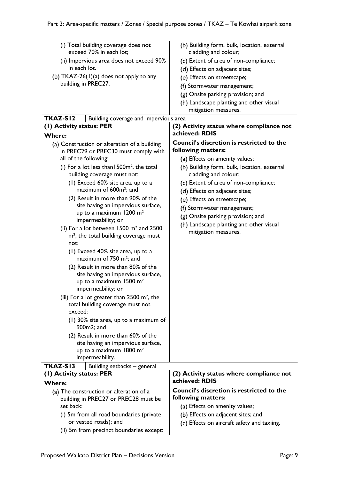| (i) Total building coverage does not<br>exceed 70% in each lot;          | (b) Building form, bulk, location, external<br>cladding and colour; |
|--------------------------------------------------------------------------|---------------------------------------------------------------------|
| (ii) Impervious area does not exceed 90%                                 | (c) Extent of area of non-compliance;                               |
| in each lot.                                                             | (d) Effects on adjacent sites;                                      |
| (b) $TKAZ-26(1)(a)$ does not apply to any                                | (e) Effects on streetscape;                                         |
| building in PREC27.                                                      | (f) Stormwater management;                                          |
|                                                                          | (g) Onsite parking provision; and                                   |
|                                                                          | (h) Landscape planting and other visual                             |
|                                                                          | mitigation measures.                                                |
| TKAZ-SI2<br>Building coverage and impervious area                        |                                                                     |
| (1) Activity status: PER                                                 | (2) Activity status where compliance not                            |
| <b>Where:</b>                                                            | achieved: RDIS                                                      |
| (a) Construction or alteration of a building                             | <b>Council's discretion is restricted to the</b>                    |
| in PREC29 or PREC30 must comply with                                     | following matters:                                                  |
| all of the following:                                                    | (a) Effects on amenity values;                                      |
| (i) For a lot less than 1500m <sup>2</sup> , the total                   | (b) Building form, bulk, location, external                         |
| building coverage must not:                                              | cladding and colour;                                                |
| (1) Exceed 60% site area, up to a                                        | (c) Extent of area of non-compliance;                               |
| maximum of 600m <sup>2</sup> ; and                                       | (d) Effects on adjacent sites;                                      |
| (2) Result in more than 90% of the                                       | (e) Effects on streetscape;                                         |
| site having an impervious surface,                                       | (f) Stormwater management;                                          |
| up to a maximum 1200 m <sup>2</sup><br>impermeability; or                | (g) Onsite parking provision; and                                   |
| (ii) For a lot between $1500 \text{ m}^2$ and $2500$                     | (h) Landscape planting and other visual                             |
| $m2$ , the total building coverage must                                  | mitigation measures.                                                |
| not:                                                                     |                                                                     |
| (1) Exceed 40% site area, up to a                                        |                                                                     |
| maximum of 750 m <sup>2</sup> ; and                                      |                                                                     |
| (2) Result in more than 80% of the                                       |                                                                     |
| site having an impervious surface,                                       |                                                                     |
| up to a maximum $1500 \text{ m}^2$                                       |                                                                     |
| impermeability; or                                                       |                                                                     |
| (iii) For a lot greater than $2500$ m <sup>2</sup> , the                 |                                                                     |
| total building coverage must not                                         |                                                                     |
| exceed:                                                                  |                                                                     |
| $(1)$ 30% site area, up to a maximum of<br>900m2; and                    |                                                                     |
|                                                                          |                                                                     |
| (2) Result in more than 60% of the<br>site having an impervious surface, |                                                                     |
| up to a maximum 1800 m <sup>2</sup>                                      |                                                                     |
| impermeability.                                                          |                                                                     |
| TKAZ-SI3<br>Building setbacks - general                                  |                                                                     |
| (1) Activity status: PER                                                 | (2) Activity status where compliance not                            |
| <b>Where:</b>                                                            | achieved: RDIS                                                      |
| (a) The construction or alteration of a                                  | <b>Council's discretion is restricted to the</b>                    |
| building in PREC27 or PREC28 must be                                     | following matters:                                                  |
| set back:                                                                | (a) Effects on amenity values;                                      |
| (i) 5m from all road boundaries (private                                 | (b) Effects on adjacent sites; and                                  |
| or vested roads); and                                                    | (c) Effects on aircraft safety and taxiing.                         |
| (ii) 5m from precinct boundaries except:                                 |                                                                     |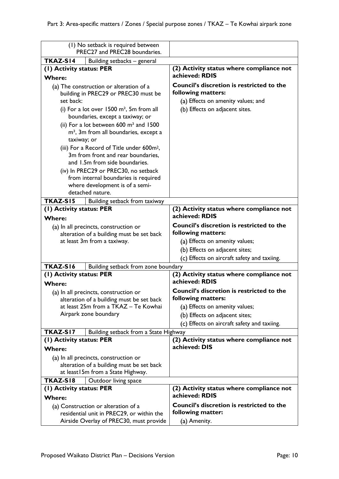| (1) No setback is required between<br>PREC27 and PREC28 boundaries.  |                                                            |  |
|----------------------------------------------------------------------|------------------------------------------------------------|--|
| TKAZ-SI4<br>Building setbacks - general                              |                                                            |  |
| (1) Activity status: PER                                             | (2) Activity status where compliance not                   |  |
| <b>Where:</b>                                                        | achieved: RDIS                                             |  |
| (a) The construction or alteration of a                              | Council's discretion is restricted to the                  |  |
| building in PREC29 or PREC30 must be                                 | following matters:                                         |  |
| set back:                                                            | (a) Effects on amenity values; and                         |  |
| (i) For a lot over $1500 \text{ m}^2$ , 5m from all                  | (b) Effects on adjacent sites.                             |  |
| boundaries, except a taxiway; or                                     |                                                            |  |
| (ii) For a lot between $600 \text{ m}^2$ and $1500 \text{ m}^2$      |                                                            |  |
| $m2$ , 3m from all boundaries, except a                              |                                                            |  |
| taxiway; or                                                          |                                                            |  |
| (iii) For a Record of Title under 600m <sup>2</sup> ,                |                                                            |  |
| 3m from front and rear boundaries,                                   |                                                            |  |
| and 1.5m from side boundaries.                                       |                                                            |  |
| (iv) In PREC29 or PREC30, no setback                                 |                                                            |  |
| from internal boundaries is required                                 |                                                            |  |
| where development is of a semi-                                      |                                                            |  |
| detached nature.                                                     |                                                            |  |
| <b>TKAZ-S15</b><br>Building setback from taxiway                     |                                                            |  |
| (1) Activity status: PER<br><b>Where:</b>                            | (2) Activity status where compliance not<br>achieved: RDIS |  |
| (a) In all precincts, construction or                                | <b>Council's discretion is restricted to the</b>           |  |
| alteration of a building must be set back                            | following matters:                                         |  |
| at least 3m from a taxiway.                                          | (a) Effects on amenity values;                             |  |
|                                                                      | (b) Effects on adjacent sites;                             |  |
|                                                                      | (c) Effects on aircraft safety and taxiing.                |  |
| <b>TKAZ-S16</b><br>Building setback from zone boundary               |                                                            |  |
| (1) Activity status: PER<br>(2) Activity status where compliance not |                                                            |  |
| <b>Where:</b>                                                        | achieved: RDIS                                             |  |
| (a) In all precincts, construction or                                | Council's discretion is restricted to the                  |  |
| alteration of a building must be set back                            | following matters:                                         |  |
| at least 25m from a TKAZ - Te Kowhai                                 | (a) Effects on amenity values;                             |  |
| Airpark zone boundary                                                | (b) Effects on adjacent sites;                             |  |
|                                                                      | (c) Effects on aircraft safety and taxiing.                |  |
| TKAZ-SI7<br>Building setback from a State Highway                    |                                                            |  |
| (1) Activity status: PER                                             | (2) Activity status where compliance not                   |  |
| <b>Where:</b>                                                        | achieved: DIS                                              |  |
| (a) In all precincts, construction or                                |                                                            |  |
| alteration of a building must be set back                            |                                                            |  |
| at least 15m from a State Highway.                                   |                                                            |  |
| TKAZ-SI8<br>Outdoor living space                                     |                                                            |  |
| (1) Activity status: PER                                             | (2) Activity status where compliance not                   |  |
| <b>Where:</b>                                                        | achieved: RDIS                                             |  |
| (a) Construction or alteration of a                                  | Council's discretion is restricted to the                  |  |
| residential unit in PREC29, or within the                            | following matter:                                          |  |
| Airside Overlay of PREC30, must provide                              | (a) Amenity.                                               |  |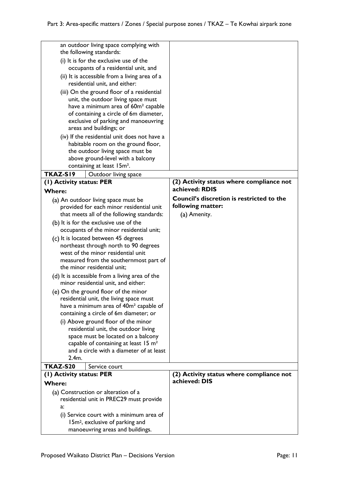| an outdoor living space complying with<br>the following standards:                           |                                                            |
|----------------------------------------------------------------------------------------------|------------------------------------------------------------|
| (i) It is for the exclusive use of the<br>occupants of a residential unit, and               |                                                            |
| (ii) It is accessible from a living area of a<br>residential unit, and either:               |                                                            |
| (iii) On the ground floor of a residential                                                   |                                                            |
| unit, the outdoor living space must                                                          |                                                            |
| have a minimum area of 60m <sup>2</sup> capable                                              |                                                            |
| of containing a circle of 6m diameter,<br>exclusive of parking and manoeuvring               |                                                            |
| areas and buildings; or                                                                      |                                                            |
| (iv) If the residential unit does not have a                                                 |                                                            |
| habitable room on the ground floor,                                                          |                                                            |
| the outdoor living space must be                                                             |                                                            |
| above ground-level with a balcony                                                            |                                                            |
| containing at least 15m <sup>2</sup> .                                                       |                                                            |
| TKAZ-SI9<br>Outdoor living space                                                             |                                                            |
| (I) Activity status: PER<br><b>Where:</b>                                                    | (2) Activity status where compliance not<br>achieved: RDIS |
| (a) An outdoor living space must be                                                          | Council's discretion is restricted to the                  |
| provided for each minor residential unit                                                     | following matter:                                          |
| that meets all of the following standards:                                                   | (a) Amenity.                                               |
| (b) It is for the exclusive use of the                                                       |                                                            |
| occupants of the minor residential unit;                                                     |                                                            |
| (c) It is located between 45 degrees<br>northeast through north to 90 degrees                |                                                            |
| west of the minor residential unit                                                           |                                                            |
| measured from the southernmost part of                                                       |                                                            |
| the minor residential unit;                                                                  |                                                            |
| (d) It is accessible from a living area of the<br>minor residential unit, and either:        |                                                            |
| (e) On the ground floor of the minor                                                         |                                                            |
| residential unit, the living space must                                                      |                                                            |
| have a minimum area of 40m <sup>2</sup> capable of<br>containing a circle of 6m diameter; or |                                                            |
| (i) Above ground floor of the minor                                                          |                                                            |
| residential unit, the outdoor living                                                         |                                                            |
| space must be located on a balcony                                                           |                                                            |
| capable of containing at least 15 $m2$                                                       |                                                            |
| and a circle with a diameter of at least<br>2.4m.                                            |                                                            |
| <b>TKAZ-S20</b><br>Service court                                                             |                                                            |
| (1) Activity status: PER                                                                     | (2) Activity status where compliance not                   |
| <b>Where:</b>                                                                                | achieved: DIS                                              |
| (a) Construction or alteration of a                                                          |                                                            |
| residential unit in PREC29 must provide                                                      |                                                            |
| a:                                                                                           |                                                            |
| (i) Service court with a minimum area of                                                     |                                                            |
| 15m <sup>2</sup> , exclusive of parking and<br>manoeuvring areas and buildings.              |                                                            |
|                                                                                              |                                                            |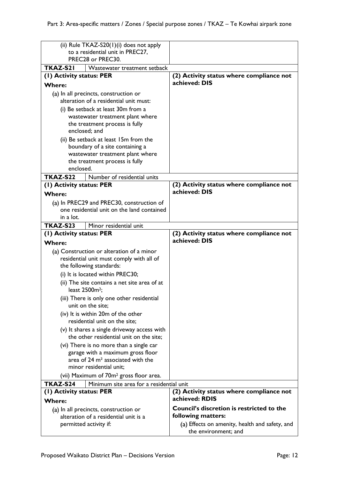| (ii) Rule TKAZ-S20(1)(i) does not apply<br>to a residential unit in PREC27,            |                                                     |                                                                        |
|----------------------------------------------------------------------------------------|-----------------------------------------------------|------------------------------------------------------------------------|
| PREC28 or PREC30.                                                                      |                                                     |                                                                        |
| TKAZ-S21                                                                               | Wastewater treatment setback                        |                                                                        |
| (1) Activity status: PER                                                               |                                                     | (2) Activity status where compliance not                               |
| <b>Where:</b>                                                                          |                                                     | achieved: DIS                                                          |
| (a) In all precincts, construction or                                                  |                                                     |                                                                        |
| alteration of a residential unit must:                                                 |                                                     |                                                                        |
| (i) Be setback at least 30m from a                                                     |                                                     |                                                                        |
| wastewater treatment plant where                                                       |                                                     |                                                                        |
| the treatment process is fully<br>enclosed; and                                        |                                                     |                                                                        |
| (ii) Be setback at least 15m from the                                                  |                                                     |                                                                        |
| boundary of a site containing a                                                        |                                                     |                                                                        |
| wastewater treatment plant where                                                       |                                                     |                                                                        |
|                                                                                        | the treatment process is fully                      |                                                                        |
| enclosed.                                                                              |                                                     |                                                                        |
| TKAZ-S22                                                                               | Number of residential units                         |                                                                        |
| (1) Activity status: PER                                                               |                                                     | (2) Activity status where compliance not                               |
| <b>Where:</b>                                                                          |                                                     | achieved: DIS                                                          |
| (a) In PREC29 and PREC30, construction of                                              |                                                     |                                                                        |
|                                                                                        | one residential unit on the land contained          |                                                                        |
| in a lot.                                                                              |                                                     |                                                                        |
| TKAZ-S23                                                                               | Minor residential unit                              |                                                                        |
| (1) Activity status: PER                                                               |                                                     | (2) Activity status where compliance not<br>achieved: DIS              |
| <b>Where:</b>                                                                          |                                                     |                                                                        |
| (a) Construction or alteration of a minor<br>residential unit must comply with all of  |                                                     |                                                                        |
| the following standards:                                                               |                                                     |                                                                        |
| (i) It is located within PREC30;                                                       |                                                     |                                                                        |
| (ii) The site contains a net site area of at<br>least 2500m <sup>2</sup> ;             |                                                     |                                                                        |
| (iii) There is only one other residential                                              |                                                     |                                                                        |
| unit on the site;                                                                      |                                                     |                                                                        |
| (iv) It is within 20m of the other                                                     |                                                     |                                                                        |
| residential unit on the site;                                                          |                                                     |                                                                        |
| (v) It shares a single driveway access with<br>the other residential unit on the site: |                                                     |                                                                        |
| (vi) There is no more than a single car                                                |                                                     |                                                                        |
| garage with a maximum gross floor                                                      |                                                     |                                                                        |
| area of 24 m <sup>2</sup> associated with the                                          |                                                     |                                                                        |
| minor residential unit;                                                                |                                                     |                                                                        |
|                                                                                        | (vii) Maximum of 70m <sup>2</sup> gross floor area. |                                                                        |
| TKAZ-S24<br>Minimum site area for a residential unit                                   |                                                     |                                                                        |
| (1) Activity status: PER<br><b>Where:</b>                                              |                                                     | (2) Activity status where compliance not<br>achieved: RDIS             |
| (a) In all precincts, construction or                                                  |                                                     | <b>Council's discretion is restricted to the</b>                       |
| alteration of a residential unit is a                                                  |                                                     | following matters:                                                     |
| permitted activity if:                                                                 |                                                     | (a) Effects on amenity, health and safety, and<br>the environment; and |